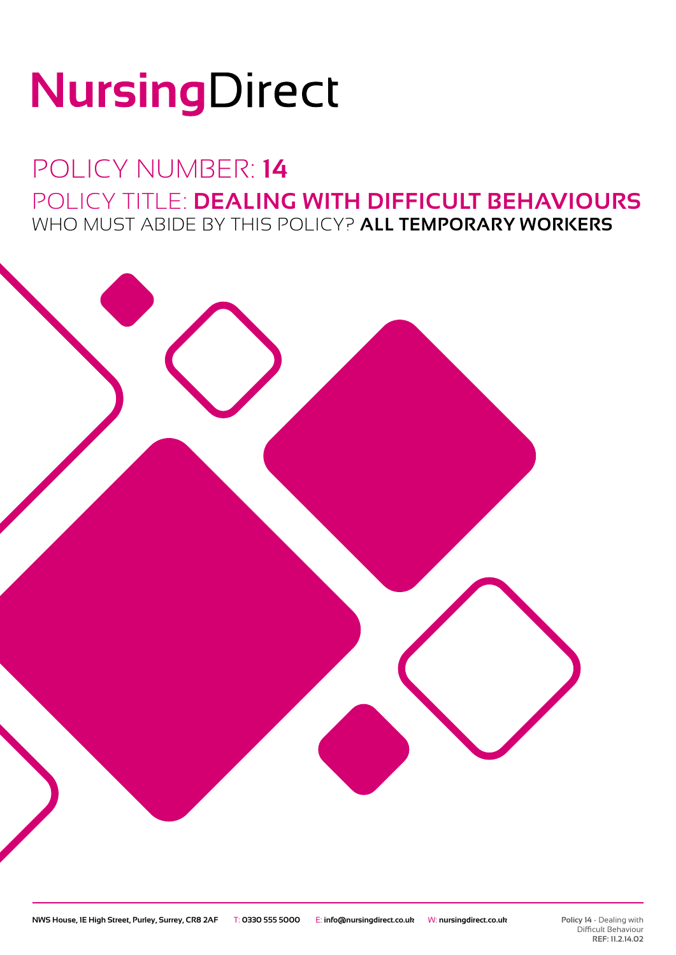# NursingDirect

### POLICY NUMBER: **14** POLICY TITLE: **DEALING WITH DIFFICULT BEHAVIOURS** WHO MUST ABIDE BY THIS POLICY? **ALL TEMPORARY WORKERS**